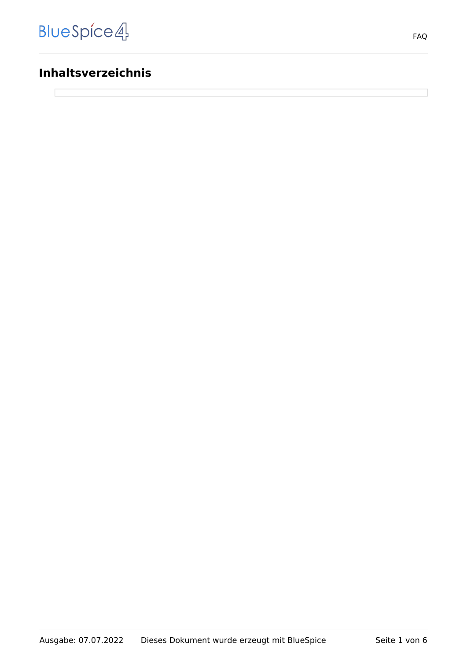# **Inhaltsverzeichnis**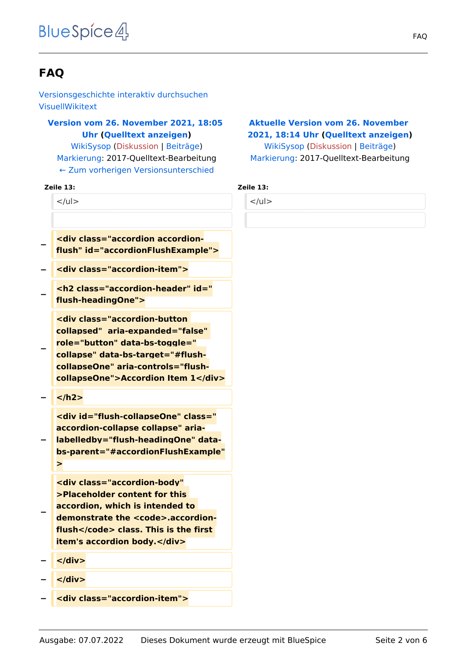# **FAQ**

[Versionsgeschichte interaktiv durchsuchen](https://de.demo.bluespice.com) [VisuellWikitext](https://de.demo.bluespice.com)

# **[Version vom 26. November 2021, 18:05](https://de.demo.bluespice.com/w/index.php?title=FAQ&oldid=1793)  [Uhr](https://de.demo.bluespice.com/w/index.php?title=FAQ&oldid=1793) ([Quelltext anzeigen\)](https://de.demo.bluespice.com/w/index.php?title=FAQ&action=edit&oldid=1793)**

[WikiSysop](https://de.demo.bluespice.com/wiki/Benutzer:WikiSysop) ([Diskussion](https://de.demo.bluespice.com/w/index.php?title=Benutzer_Diskussion:WikiSysop&action=view) | [Beiträge](https://de.demo.bluespice.com/wiki/Spezial:Beitr%C3%A4ge/WikiSysop)) [Markierung](https://de.demo.bluespice.com/wiki/Spezial:Markierungen): 2017-Quelltext-Bearbeitung [← Zum vorherigen Versionsunterschied](https://de.demo.bluespice.com/w/index.php?title=FAQ&diff=prev&oldid=1793)

#### **Zeile 13: Zeile 13:**

 $<$ /ul $>$ 

- **− <div class="accordion accordionflush" id="accordionFlushExample">**
- **− <div class="accordion-item">**
- **− <h2 class="accordion-header" id=" flush-headingOne">**
	- **<div class="accordion-button collapsed" aria-expanded="false" role="button" data-bs-toggle=" collapse" data-bs-target="#flush-**
- **collapseOne" aria-controls="flushcollapseOne">Accordion Item 1</div>**
- **− </h2>**

**−**

**<div id="flush-collapseOne" class=" accordion-collapse collapse" aria-**

**− labelledby="flush-headingOne" databs-parent="#accordionFlushExample" >**

**<div class="accordion-body" >Placeholder content for this accordion, which is intended to**  demonstrate the <code>.accordion**flush</code> class. This is the first item's accordion body.</div>**

**− </div>**

**−**

- **− </div>**
- **− <div class="accordion-item">**

# **[Aktuelle Version vom 26. November](https://de.demo.bluespice.com/w/index.php?title=FAQ&oldid=1794)  [2021, 18:14 Uhr](https://de.demo.bluespice.com/w/index.php?title=FAQ&oldid=1794) ([Quelltext anzeigen](https://de.demo.bluespice.com/w/index.php?title=FAQ&action=edit))** [WikiSysop](https://de.demo.bluespice.com/wiki/Benutzer:WikiSysop) [\(Diskussion](https://de.demo.bluespice.com/w/index.php?title=Benutzer_Diskussion:WikiSysop&action=view) | [Beiträge\)](https://de.demo.bluespice.com/wiki/Spezial:Beitr%C3%A4ge/WikiSysop)

[Markierung:](https://de.demo.bluespice.com/wiki/Spezial:Markierungen) 2017-Quelltext-Bearbeitung

| . . |  |
|-----|--|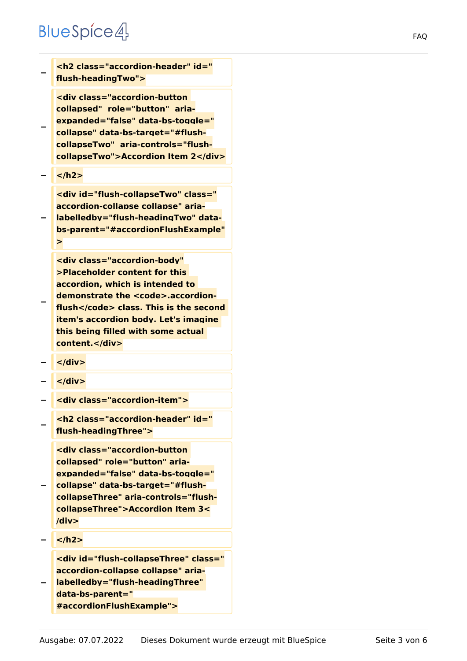# **BlueSpice4**

| <h2 class="accordion-header" id="&lt;br&gt;flush-headingTwo"></h2>                                                                                                                                                                                                                          |
|---------------------------------------------------------------------------------------------------------------------------------------------------------------------------------------------------------------------------------------------------------------------------------------------|
| <div aria-<br="" class="accordion-button&lt;br&gt;collapsed" role="button">expanded="false" data-bs-toggle="<br/>collapse" data-bs-target="#flush-<br/>collapseTwo" aria-controls="flush-<br/>collapseTwo"&gt;Accordion Item 2</div>                                                        |
|                                                                                                                                                                                                                                                                                             |
| <div aria-<br="" class="&lt;br&gt;accordion-collapse collapse" id="flush-collapseTwo">labelledby="flush-headingTwo" data-<br/>bs-parent="#accordionFlushExample"<br/>&gt;</div>                                                                                                             |
| <div <br="" class="accordion-body">&gt;Placeholder content for this<br/>accordion, which is intended to<br/>demonstrate the <code>.accordion-<br/>flush</code> class. This is the second<br/>item's accordion body. Let's imagine<br/>this being filled with some actual<br/>content.</div> |
| $\langle$ div>                                                                                                                                                                                                                                                                              |
| $<$ /div>                                                                                                                                                                                                                                                                                   |
| <div class="accordion-item"></div>                                                                                                                                                                                                                                                          |
| <h2 class="accordion-header" id="&lt;br&gt;flush-headingThree"></h2>                                                                                                                                                                                                                        |
| <div aria-<br="" class="accordion-button&lt;br&gt;collapsed" role="button">expanded="false" data-bs-toggle="<br/>collapse" data-bs-target="#flush-<br/>collapseThree" aria-controls="flush-<br/>collapseThree"&gt;Accordion Item 3&lt;<br/>/div&gt;</div>                                   |

**− </h2>**

**<div id="flush-collapseThree" class=" accordion-collapse collapse" aria-**

**− labelledby="flush-headingThree" data-bs-parent=" #accordionFlushExample">**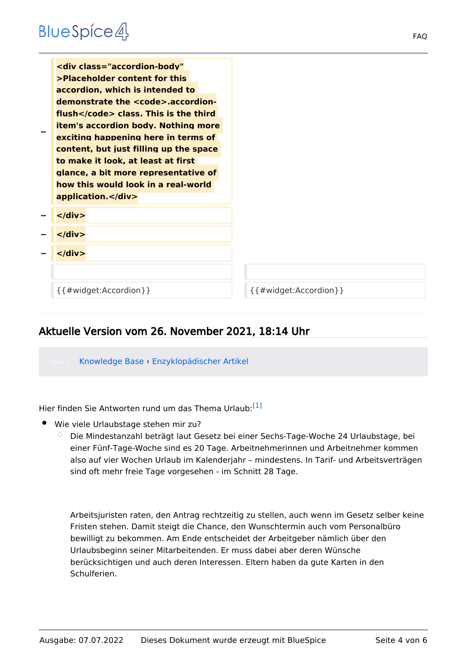| <div <br="" class="accordion-body">&gt;Placeholder content for this<br/>accordion, which is intended to<br/>demonstrate the <code>.accordion-<br/>flush</code> class. This is the third<br/><b>item's accordion body. Nothing more</b><br/>exciting happening here in terms of<br/>content, but just filling up the space<br/>to make it look, at least at first<br/>glance, a bit more representative of<br/>how this would look in a real-world<br/>application.</div> |                                |
|--------------------------------------------------------------------------------------------------------------------------------------------------------------------------------------------------------------------------------------------------------------------------------------------------------------------------------------------------------------------------------------------------------------------------------------------------------------------------|--------------------------------|
| $\langle$ div $\rangle$                                                                                                                                                                                                                                                                                                                                                                                                                                                  |                                |
| $\langle$ /div $\rangle$                                                                                                                                                                                                                                                                                                                                                                                                                                                 |                                |
| $\langle$ div $\rangle$                                                                                                                                                                                                                                                                                                                                                                                                                                                  |                                |
|                                                                                                                                                                                                                                                                                                                                                                                                                                                                          |                                |
| $\{$ { # widget: Accordion } }                                                                                                                                                                                                                                                                                                                                                                                                                                           | $\{$ { # widget: Accordion } } |

# Aktuelle Version vom 26. November 2021, 18:14 Uhr

Knowledge Base ‹ [Enzyklopädischer Artikel](https://de.demo.bluespice.com/wiki/Regensburg)

<span id="page-3-0"></span>Hier finden Sie Antworten rund um das Thema Urlaub:<sup>[\[1\]](#page-5-0)</sup>

- Wie viele Urlaubstage stehen mir zu?
	- $\circ$  Die Mindestanzahl beträgt laut Gesetz bei einer Sechs-Tage-Woche 24 Urlaubstage, bei einer Fünf-Tage-Woche sind es 20 Tage. Arbeitnehmerinnen und Arbeitnehmer kommen also auf vier Wochen Urlaub im Kalenderjahr – mindestens. In Tarif- und Arbeitsverträgen sind oft mehr freie Tage vorgesehen - im Schnitt 28 Tage.

Arbeitsjuristen raten, den Antrag rechtzeitig zu stellen, auch wenn im Gesetz selber keine Fristen stehen. Damit steigt die Chance, den Wunschtermin auch vom Personalbüro bewilligt zu bekommen. Am Ende entscheidet der Arbeitgeber nämlich über den Urlaubsbeginn seiner Mitarbeitenden. Er muss dabei aber deren Wünsche berücksichtigen und auch deren Interessen. Eltern haben da gute Karten in den Schulferien.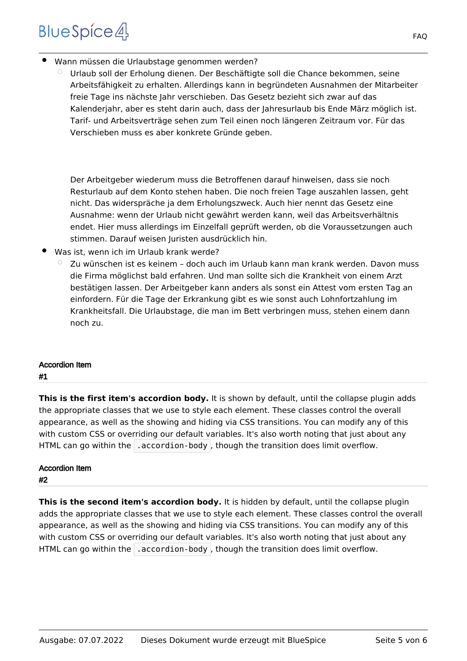# **BlueSpice4**

- Wann müssen die Urlaubstage genommen werden?
	- $\circ$  Urlaub soll der Erholung dienen. Der Beschäftigte soll die Chance bekommen, seine Arbeitsfähigkeit zu erhalten. Allerdings kann in begründeten Ausnahmen der Mitarbeiter freie Tage ins nächste Jahr verschieben. Das Gesetz bezieht sich zwar auf das Kalenderjahr, aber es steht darin auch, dass der Jahresurlaub bis Ende März möglich ist. Tarif- und Arbeitsverträge sehen zum Teil einen noch längeren Zeitraum vor. Für das Verschieben muss es aber konkrete Gründe geben.

Der Arbeitgeber wiederum muss die Betroffenen darauf hinweisen, dass sie noch Resturlaub auf dem Konto stehen haben. Die noch freien Tage auszahlen lassen, geht nicht. Das widerspräche ja dem Erholungszweck. Auch hier nennt das Gesetz eine Ausnahme: wenn der Urlaub nicht gewährt werden kann, weil das Arbeitsverhältnis endet. Hier muss allerdings im Einzelfall geprüft werden, ob die Voraussetzungen auch stimmen. Darauf weisen Juristen ausdrücklich hin.

- Was ist, wenn ich im Urlaub krank werde?
	- $\degree$  Zu wünschen ist es keinem doch auch im Urlaub kann man krank werden. Davon muss die Firma möglichst bald erfahren. Und man sollte sich die Krankheit von einem Arzt bestätigen lassen. Der Arbeitgeber kann anders als sonst ein Attest vom ersten Tag an einfordern. Für die Tage der Erkrankung gibt es wie sonst auch Lohnfortzahlung im Krankheitsfall. Die Urlaubstage, die man im Bett verbringen muss, stehen einem dann noch zu.

# Accordion Item

#### #1

**This is the first item's accordion body.** It is shown by default, until the collapse plugin adds the appropriate classes that we use to style each element. These classes control the overall appearance, as well as the showing and hiding via CSS transitions. You can modify any of this with custom CSS or overriding our default variables. It's also worth noting that just about any HTML can go within the  $\vert$  accordion-body , though the transition does limit overflow.

# Accordion Item

### #2

This is the second item's accordion body. It is hidden by default, until the collapse plugin adds the appropriate classes that we use to style each element. These classes control the overall appearance, as well as the showing and hiding via CSS transitions. You can modify any of this with custom CSS or overriding our default variables. It's also worth noting that just about any HTML can go within the  $\vert$  accordion-body , though the transition does limit overflow.